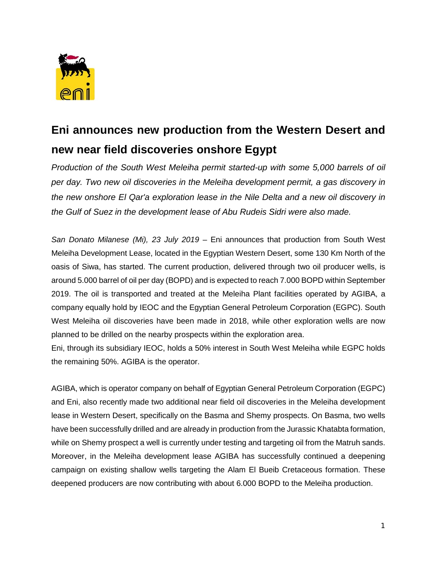

## **Eni announces new production from the Western Desert and new near field discoveries onshore Egypt**

*Production of the South West Meleiha permit started-up with some 5,000 barrels of oil per day. Two new oil discoveries in the Meleiha development permit, a gas discovery in the new onshore El Qar'a exploration lease in the Nile Delta and a new oil discovery in the Gulf of Suez in the development lease of Abu Rudeis Sidri were also made.* 

*San Donato Milanese (Mi), 23 July 2019* – Eni announces that production from South West Meleiha Development Lease, located in the Egyptian Western Desert, some 130 Km North of the oasis of Siwa, has started. The current production, delivered through two oil producer wells, is around 5.000 barrel of oil per day (BOPD) and is expected to reach 7.000 BOPD within September 2019. The oil is transported and treated at the Meleiha Plant facilities operated by AGIBA, a company equally hold by IEOC and the Egyptian General Petroleum Corporation (EGPC). South West Meleiha oil discoveries have been made in 2018, while other exploration wells are now planned to be drilled on the nearby prospects within the exploration area.

Eni, through its subsidiary IEOC, holds a 50% interest in South West Meleiha while EGPC holds the remaining 50%. AGIBA is the operator.

AGIBA, which is operator company on behalf of Egyptian General Petroleum Corporation (EGPC) and Eni, also recently made two additional near field oil discoveries in the Meleiha development lease in Western Desert, specifically on the Basma and Shemy prospects. On Basma, two wells have been successfully drilled and are already in production from the Jurassic Khatabta formation, while on Shemy prospect a well is currently under testing and targeting oil from the Matruh sands. Moreover, in the Meleiha development lease AGIBA has successfully continued a deepening campaign on existing shallow wells targeting the Alam El Bueib Cretaceous formation. These deepened producers are now contributing with about 6.000 BOPD to the Meleiha production.